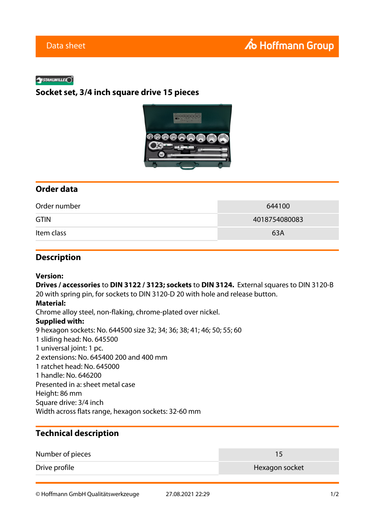#### **SYSTAHLWILLE**

## **Socket set, 3/4 inch square drive 15 pieces**



## **Order data**

| Order number | 644100        |
|--------------|---------------|
| <b>GTIN</b>  | 4018754080083 |
| Item class   | 63A           |

### **Description**

### **Version:**

**Drives / accessories** to **DIN 3122 / 3123; sockets** to **DIN 3124.** External squares to DIN 3120-B 20 with spring pin, for sockets to DIN 3120-D 20 with hole and release button. **Material:** Chrome alloy steel, non-flaking, chrome-plated over nickel. **Supplied with:** 9 hexagon sockets: No. 644500 size 32; 34; 36; 38; 41; 46; 50; 55; 60 1 sliding head: No. 645500 1 universal joint: 1 pc. 2 extensions: No. 645400 200 and 400 mm 1 ratchet head: No. 645000 1 handle: No. 646200 Presented in a: sheet metal case Height: 86 mm Square drive: 3/4 inch Width across flats range, hexagon sockets: 32-60 mm

# **Technical description**

| Number of pieces |                |
|------------------|----------------|
| Drive profile    | Hexagon socket |

© Hoffmann GmbH Qualitätswerkzeuge 27.08.2021 22:29 1/2